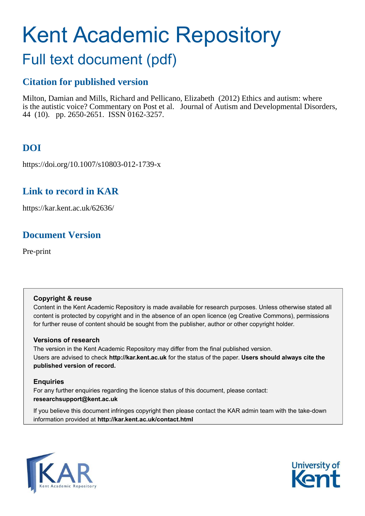# Kent Academic Repository

## Full text document (pdf)

## **Citation for published version**

Milton, Damian and Mills, Richard and Pellicano, Elizabeth (2012) Ethics and autism: where is the autistic voice? Commentary on Post et al. Journal of Autism and Developmental Disorders, 44 (10). pp. 2650-2651. ISSN 0162-3257.

## **DOI**

https://doi.org/10.1007/s10803-012-1739-x

## **Link to record in KAR**

https://kar.kent.ac.uk/62636/

## **Document Version**

Pre-print

#### **Copyright & reuse**

Content in the Kent Academic Repository is made available for research purposes. Unless otherwise stated all content is protected by copyright and in the absence of an open licence (eg Creative Commons), permissions for further reuse of content should be sought from the publisher, author or other copyright holder.

#### **Versions of research**

The version in the Kent Academic Repository may differ from the final published version. Users are advised to check **http://kar.kent.ac.uk** for the status of the paper. **Users should always cite the published version of record.**

#### **Enquiries**

For any further enquiries regarding the licence status of this document, please contact: **researchsupport@kent.ac.uk**

If you believe this document infringes copyright then please contact the KAR admin team with the take-down information provided at **http://kar.kent.ac.uk/contact.html**



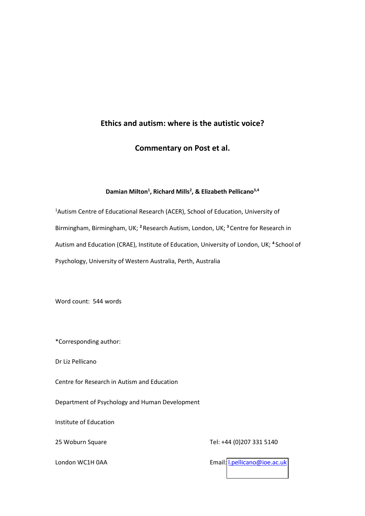#### **Ethics and autism: where is the autistic voice?**

**Commentary on Post et al.** 

#### **Damian Milton<sup>1</sup> , Richard Mills<sup>2</sup> , & Elizabeth Pellicano3,4**

<sup>1</sup>Autism Centre of Educational Research (ACER), School of Education, University of Birmingham, Birmingham, UK; **<sup>2</sup>**Research Autism, London, UK; **<sup>3</sup>**Centre for Research in Autism and Education (CRAE), Institute of Education, University of London, UK; **<sup>4</sup>**School of Psychology, University of Western Australia, Perth, Australia

Word count: 544 words

\*Corresponding author:

Dr Liz Pellicano

Centre for Research in Autism and Education

Department of Psychology and Human Development

Institute of Education

25 Woburn Square Tel: +44 (0)207 331 5140

London WC1H 0AA **Email:** London WC1H 0AA Email: London WC1H 0AA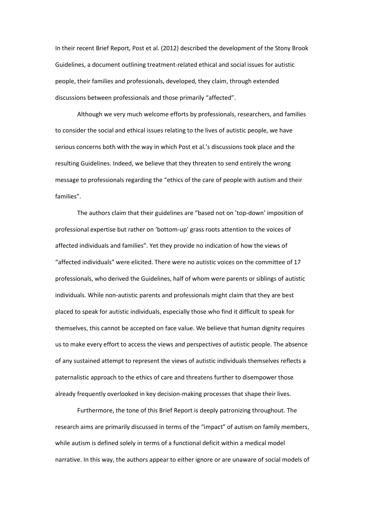In their recent Brief Report, Post et al. (2012) described the development of the Stony Brook Guidelines, a document outlining treatment-related ethical and social issues for autistic people, their families and professionals, developed, they claim, through extended discussions between professionals and those primarily "affected".

Although we very much welcome efforts by professionals, researchers, and families to consider the social and ethical issues relating to the lives of autistic people, we have serious concerns both with the way in which Post et al.'s discussions took place and the resulting Guidelines. Indeed, we believe that they threaten to send entirely the wrong message to professionals regarding the "ethics of the care of people with autism and their families".

The authors claim that their guidelines are "based not on 'top-down' imposition of professional expertise but rather on 'bottom-up' grass roots attention to the voices of affected individuals and families". Yet they provide no indication of how the views of "affected individuals" were elicited. There were no autistic voices on the committee of 17 professionals, who derived the Guidelines, half of whom were parents or siblings of autistic individuals. While non-autistic parents and professionals might claim that they are best placed to speak for autistic individuals, especially those who find it difficult to speak for themselves, this cannot be accepted on face value. We believe that human dignity requires us to make every effort to access the views and perspectives of autistic people. The absence of any sustained attempt to represent the views of autistic individuals themselves reflects a paternalistic approach to the ethics of care and threatens further to disempower those already frequently overlooked in key decision-making processes that shape their lives.

Furthermore, the tone of this Brief Report is deeply patronizing throughout. The research aims are primarily discussed in terms of the "impact" of autism on family members, while autism is defined solely in terms of a functional deficit within a medical model narrative. In this way, the authors appear to either ignore or are unaware of social models of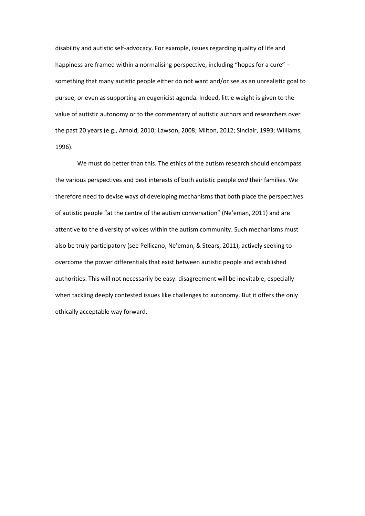disability and autistic self-advocacy. For example, issues regarding quality of life and happiness are framed within a normalising perspective, including "hopes for a cure" – something that many autistic people either do not want and/or see as an unrealistic goal to pursue, or even as supporting an eugenicist agenda. Indeed, little weight is given to the value of autistic autonomy or to the commentary of autistic authors and researchers over the past 20 years (e.g., Arnold, 2010; Lawson, 2008; Milton, 2012; Sinclair, 1993; Williams, 1996).

We must do better than this. The ethics of the autism research should encompass the various perspectives and best interests of both autistic people *and* their families. We therefore need to devise ways of developing mechanisms that both place the perspectives of autistic people "at the centre of the autism conversation" (Ne'eman, 2011) and are attentive to the diversity of voices within the autism community. Such mechanisms must also be truly participatory (see Pellicano, Ne'eman, & Stears, 2011), actively seeking to overcome the power differentials that exist between autistic people and established authorities. This will not necessarily be easy: disagreement will be inevitable, especially when tackling deeply contested issues like challenges to autonomy. But it offers the only ethically acceptable way forward.